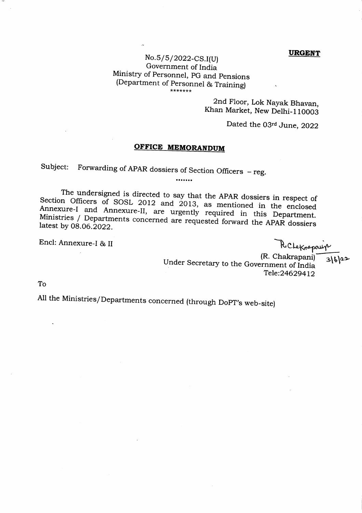#### **URGENT**

# $No.5/5/2022$ -CS.I(U) Government of India Ministry of Personnel, pG and pensions (Department of Personnel & Training)

2nd Floor, Lok Nayak Bhavan, Khan Market, New Delhi-110003

Dated the 03rd June, 2022

## **OFFICE MEMORANDUM**

.......

Subject: Forwarding of APAR dossiers of Section Officers  $-$  reg.

Section Officers of SOSL 2012 and 2013, as mentioned in the enclosed The undersigned is directed to say that the APAR dossiers in respect of<br>n Officers of SOSI 2012 and 2012 Annexure-I and Annexure-II, are urgently required in this Department<br>Ministries / Departments concerned are requested forward the APAR dossiers Ministries / Departments concerned are requested forward the APAR dossiers<br>latest by 08.06.2022.

Encl: Annexure-I & II

RCLexnepauis

 $316)22$ 

Under Secretary to the Government of India<br>Under Secretary to the Government of India Tele:24629412

To

All the Ministries/Departments concerned (through DoPT's web-site)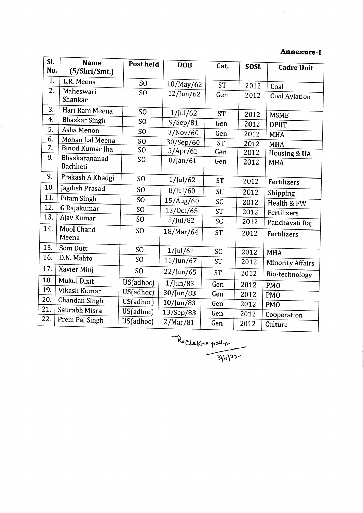## Annexure-I

| SI. | <b>Name</b>               | Post held       | <b>DOB</b>   | Cat.      | <b>SOSL</b> |                         |
|-----|---------------------------|-----------------|--------------|-----------|-------------|-------------------------|
| No. | (S/Shri/Smt.)             |                 |              |           |             | <b>Cadre Unit</b>       |
| 1.  | L.R. Meena                | SO              | 10/May/62    | <b>ST</b> | 2012        | Coal                    |
| 2.  | Maheswari<br>Shankar      | S <sub>O</sub>  | $12$ /Jun/62 | Gen       | 2012        | Civil Aviation          |
| 3.  | Hari Ram Meena            | S <sub>O</sub>  | $1$ /Jul/62  | <b>ST</b> | 2012        | <b>MSME</b>             |
| 4.  | <b>Bhaskar Singh</b>      | S <sub>O</sub>  | 9/Sep/81     | Gen       | 2012        | <b>DPIIT</b>            |
| 5.  | Asha Menon                | S <sub>O</sub>  | 3/Nov/60     | Gen       | 2012        | <b>MHA</b>              |
| 6.  | Mohan Lal Meena           | S <sub>O</sub>  | 30/Sep/60    | <b>ST</b> | 2012        | <b>MHA</b>              |
| 7.  | Binod Kumar Jha           | SO              | 5/Apr/61     | Gen       | 2012        | Housing & UA            |
| 8.  | Bhaskarananad<br>Bachheti | SO              | $8$ /Jan/61  | Gen       | 2012        | <b>MHA</b>              |
| 9.  | Prakash A Khadgi          | S <sub>O</sub>  | $1$ /Jul/62  | <b>ST</b> | 2012        | Fertilizers             |
| 10. | Jagdish Prasad            | S <sub>O</sub>  | 8/Jul/60     | SC        | 2012        | Shipping                |
| 11. | Pitam Singh               | S <sub>O</sub>  | 15/Aug/60    | <b>SC</b> | 2012        | Health & FW             |
| 12. | G Rajakumar               | S <sub>O</sub>  | 13/Oct/65    | <b>ST</b> | 2012        | Fertilizers             |
| 13. | Ajay Kumar                | SO              | 5/Jul/82     | SC        | 2012        | Panchayati Raj          |
| 14. | Mool Chand<br>Meena       | SO <sub>1</sub> | 18/Mar/64    | <b>ST</b> | 2012        | Fertilizers             |
| 15. | Som Dutt                  | S <sub>O</sub>  | $1$ /Jul/61  | <b>SC</b> | 2012        | <b>MHA</b>              |
| 16. | D.N. Mahto                | S <sub>O</sub>  | 15/Jun/67    | <b>ST</b> | 2012        | <b>Minority Affairs</b> |
| 17. | Xavier Minj               | S <sub>O</sub>  | $22$ /Jun/65 | <b>ST</b> | 2012        | Bio-technology          |
| 18. | <b>Mukul Dixit</b>        | US(adhoc)       | $1/$ Jun/83  | Gen       | 2012        | <b>PMO</b>              |
| 19. | Vikash Kumar              | US(adhoc)       | 30/Jun/83    | Gen       | 2012        |                         |
| 20. | <b>Chandan Singh</b>      | US(adhoc)       | 10/Jun/83    | Gen       | 2012        | <b>PMO</b>              |
| 21. | Saurabh Misra             | US(adhoc)       | 13/Sep/83    | Gen       | 2012        | <b>PMO</b>              |
| 22. | Prem Pal Singh            | US(adhoc)       | 2/Mar/81     | Gen       | 2012        | Cooperation<br>Culture  |

Recletnessalin  $\sqrt{3161}$